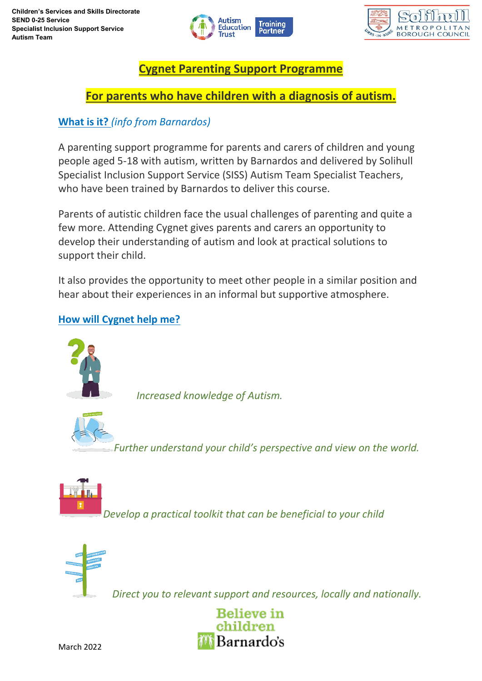



# **Cygnet Parenting Support Programme**

# **For parents who have children with a diagnosis of autism.**

### **What is it?** *(info from Barnardos)*

A parenting support programme for parents and carers of children and young people aged 5-18 with autism, written by Barnardos and delivered by Solihull Specialist Inclusion Support Service (SISS) Autism Team Specialist Teachers, who have been trained by Barnardos to deliver this course.

Parents of autistic children face the usual challenges of parenting and quite a few more. Attending Cygnet gives parents and carers an opportunity to develop their understanding of autism and look at practical solutions to support their child.

It also provides the opportunity to meet other people in a similar position and hear about their experiences in an informal but supportive atmosphere.

## **How will Cygnet help me?**



*Increased knowledge of Autism.*



*Further understand your child's perspective and view on the world.*



*Develop a practical toolkit that can be beneficial to your child*



*Direct you to relevant support and resources, locally and nationally.*